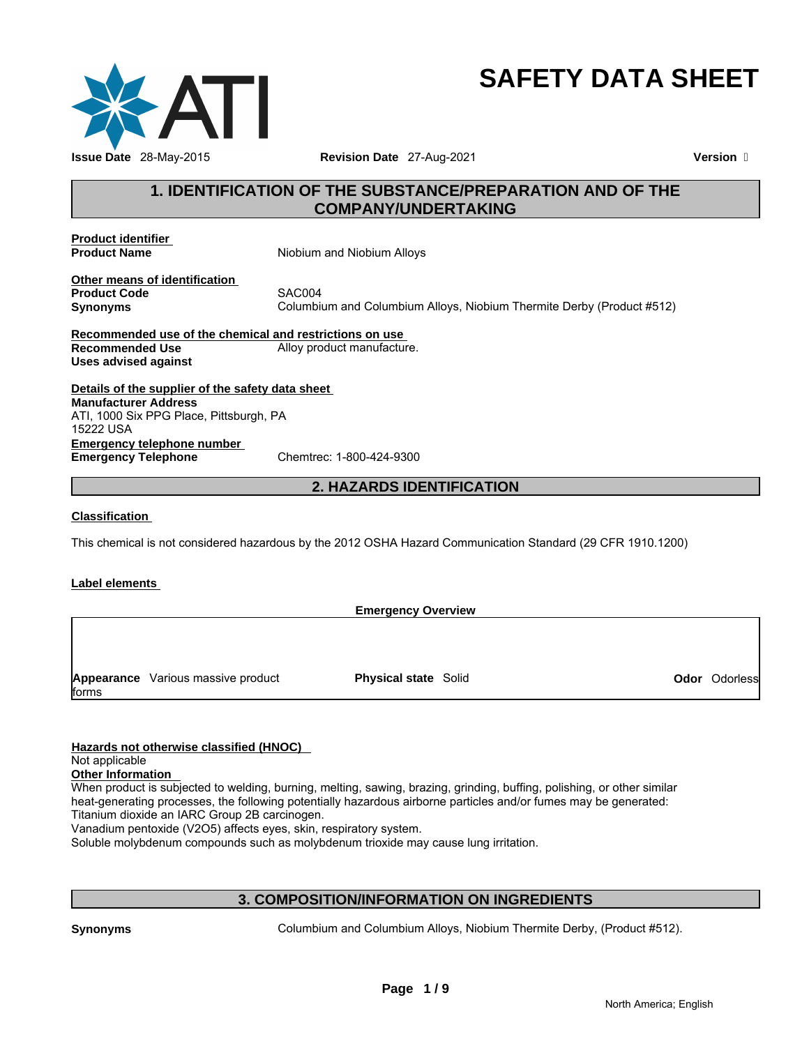

# **SAFETY DATA SHEET**

# **1. IDENTIFICATION OF THE SUBSTANCE/PREPARATION AND OF THE COMPANY/UNDERTAKING**

**Product identifier** 

**Product Name Night** Niobium and Niobium Alloys

**Other means of identification Product Code 5XC004**<br> **SAC004**<br> **Synonyms** Columbi

**Synonyms** Columbium and Columbium Alloys, Niobium Thermite Derby (Product #512)

**Recommended use of the chemical and restrictions on use Recommended Use The Commended Use Alloy product manufacture. Uses advised against** 

**Details of the supplier of the safety data sheet Emergency telephone number<br>
Emergency Telephone**<br>
Chemtrec: 1-800-424-9300 **Emergency Telephone Manufacturer Address** ATI, 1000 Six PPG Place, Pittsburgh, PA 15222 USA

# **2. HAZARDS IDENTIFICATION**

**Classification** 

This chemical is not considered hazardous by the 2012 OSHA Hazard Communication Standard (29 CFR 1910.1200)

## **Label elements**

**Emergency Overview Appearance** Various massive product forms **Physical state** Solid **Odor** Odorless

## **Hazards not otherwise classified (HNOC)**

Not applicable

**Other Information** 

When product is subjected to welding, burning, melting, sawing, brazing, grinding, buffing, polishing, or other similar heat-generating processes, the following potentially hazardous airborne particles and/or fumes may be generated: Titanium dioxide an IARC Group 2B carcinogen.

Vanadium pentoxide (V2O5) affects eyes, skin, respiratory system.

Soluble molybdenum compounds such as molybdenum trioxide may cause lung irritation.

# **3. COMPOSITION/INFORMATION ON INGREDIENTS**

**Synonyms** Columbium and Columbium Alloys, Niobium Thermite Derby, (Product #512).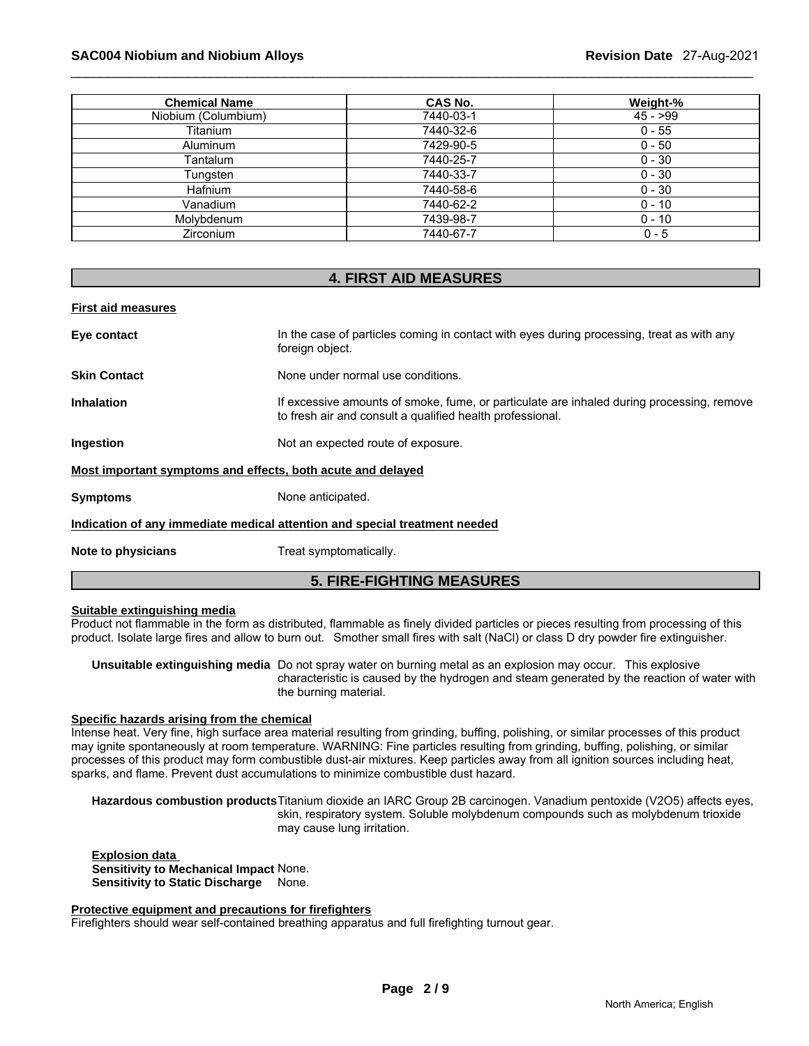## \_\_\_\_\_\_\_\_\_\_\_\_\_\_\_\_\_\_\_\_\_\_\_\_\_\_\_\_\_\_\_\_\_\_\_\_\_\_\_\_\_\_\_\_\_\_\_\_\_\_\_\_\_\_\_\_\_\_\_\_\_\_\_\_\_\_\_\_\_\_\_\_\_\_\_\_\_\_\_\_\_\_\_\_\_\_\_\_\_\_\_\_\_ **SAC004 Niobium and Niobium Alloys Revision Date** 27-Aug-2021

| <b>Chemical Name</b> | <b>CAS No.</b> | Weight-%  |
|----------------------|----------------|-----------|
| Niobium (Columbium)  | 7440-03-1      | $45 - 99$ |
| Titanium             | 7440-32-6      | $0 - 55$  |
| <b>Aluminum</b>      | 7429-90-5      | $0 - 50$  |
| Tantalum             | 7440-25-7      | $0 - 30$  |
| Tungsten             | 7440-33-7      | $0 - 30$  |
| <b>Hafnium</b>       | 7440-58-6      | $0 - 30$  |
| Vanadium             | 7440-62-2      | $0 - 10$  |
| Molvbdenum           | 7439-98-7      | $0 - 10$  |
| <b>Zirconium</b>     | 7440-67-7      | $0 - 5$   |

## **4. FIRST AID MEASURES**

| <b>First aid measures</b>                                   |                                                                                                                                                        |
|-------------------------------------------------------------|--------------------------------------------------------------------------------------------------------------------------------------------------------|
| Eye contact                                                 | In the case of particles coming in contact with eyes during processing, treat as with any<br>foreign object.                                           |
| <b>Skin Contact</b>                                         | None under normal use conditions.                                                                                                                      |
| <b>Inhalation</b>                                           | If excessive amounts of smoke, fume, or particulate are inhaled during processing, remove<br>to fresh air and consult a qualified health professional. |
| Ingestion                                                   | Not an expected route of exposure.                                                                                                                     |
| Most important symptoms and effects, both acute and delayed |                                                                                                                                                        |
| <b>Symptoms</b>                                             | None anticipated.                                                                                                                                      |
|                                                             | Indication of any immediate medical attention and special treatment needed                                                                             |
| Note to physicians                                          | Treat symptomatically.                                                                                                                                 |
|                                                             | <b>5. FIRE-FIGHTING MEASURES</b>                                                                                                                       |

#### **Suitable extinguishing media**

Product not flammable in the form as distributed, flammable as finely divided particles or pieces resulting from processing of this product. Isolate large fires and allow to burn out. Smother small fires with salt (NaCl) or class D dry powder fire extinguisher.

**Unsuitable extinguishing media** Do not spray water on burning metal as an explosion may occur. This explosive characteristic is caused by the hydrogen and steam generated by the reaction of water with the burning material.

## **Specific hazards arising from the chemical**

Intense heat. Very fine, high surface area material resulting from grinding, buffing, polishing, or similar processes of this product may ignite spontaneously at room temperature. WARNING: Fine particles resulting from grinding, buffing, polishing, or similar processes of this product may form combustible dust-air mixtures. Keep particles away from all ignition sources including heat, sparks, and flame. Prevent dust accumulations to minimize combustible dust hazard.

**Hazardous combustion products** Titanium dioxide an IARC Group 2B carcinogen. Vanadium pentoxide (V2O5) affects eyes, skin, respiratory system. Soluble molybdenum compounds such as molybdenum trioxide may cause lung irritation.

**Explosion data Sensitivity to Mechanical Impact** None. **Sensitivity to Static Discharge** None.

#### **Protective equipment and precautions for firefighters**

Firefighters should wear self-contained breathing apparatus and full firefighting turnout gear.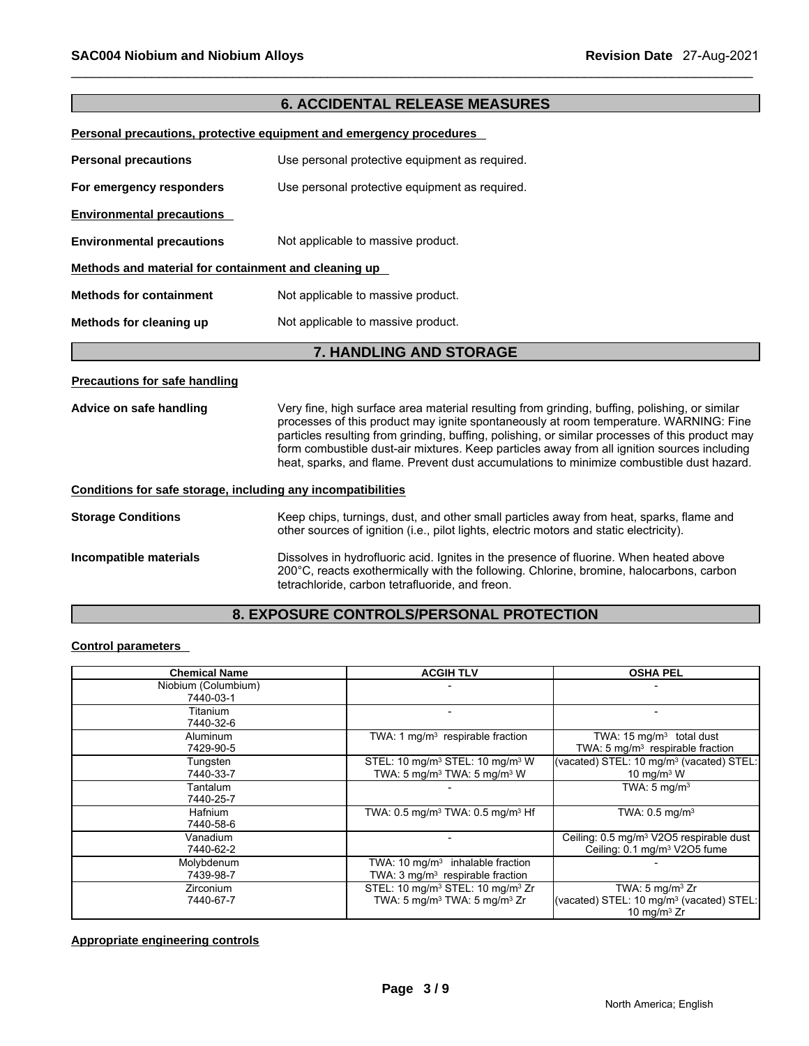# **6. ACCIDENTAL RELEASE MEASURES**

#### **Personal precautions, protective equipment and emergency procedures**

| <b>Personal precautions</b>                          | Use personal protective equipment as required.                                                                  |
|------------------------------------------------------|-----------------------------------------------------------------------------------------------------------------|
| For emergency responders                             | Use personal protective equipment as required.                                                                  |
| <b>Environmental precautions</b>                     |                                                                                                                 |
| <b>Environmental precautions</b>                     | Not applicable to massive product.                                                                              |
| Methods and material for containment and cleaning up |                                                                                                                 |
| <b>Methods for containment</b>                       | Not applicable to massive product.                                                                              |
| Methods for cleaning up                              | Not applicable to massive product.                                                                              |
|                                                      | 7. HANDLING AND STORAGE                                                                                         |
| <b>Precautions for safe handling</b>                 |                                                                                                                 |
|                                                      | A familia de la la la ciencia de la cada de la ciencia de la cada de la cada distinguista de la cada de la cien |

**Advice on safe handling** Very fine, high surface area material resulting from grinding, buffing, polishing, or similar processes of this product may ignite spontaneously at room temperature. WARNING: Fine particles resulting from grinding, buffing, polishing, or similar processes of this product may form combustible dust-air mixtures. Keep particles away from all ignition sources including heat, sparks, and flame. Prevent dust accumulations to minimize combustible dust hazard.

#### **Conditions for safe storage, including any incompatibilities**

| <b>Storage Conditions</b> | Keep chips, turnings, dust, and other small particles away from heat, sparks, flame and<br>other sources of ignition (i.e., pilot lights, electric motors and static electricity).                                                   |
|---------------------------|--------------------------------------------------------------------------------------------------------------------------------------------------------------------------------------------------------------------------------------|
| Incompatible materials    | Dissolves in hydrofluoric acid. Ignites in the presence of fluorine. When heated above<br>200°C, reacts exothermically with the following. Chlorine, bromine, halocarbons, carbon<br>tetrachloride, carbon tetrafluoride, and freon. |

# **8. EXPOSURE CONTROLS/PERSONAL PROTECTION**

## **Control parameters**

| <b>Chemical Name</b>             | <b>ACGIH TLV</b>                                                                                                 | <b>OSHA PEL</b>                                                                                      |
|----------------------------------|------------------------------------------------------------------------------------------------------------------|------------------------------------------------------------------------------------------------------|
| Niobium (Columbium)<br>7440-03-1 |                                                                                                                  |                                                                                                      |
| Titanium<br>7440-32-6            |                                                                                                                  |                                                                                                      |
| <b>Aluminum</b><br>7429-90-5     | TWA: 1 $mg/m3$ respirable fraction                                                                               | TWA: $15 \text{ mg/m}^3$ total dust<br>TWA: $5 \text{ mg/m}^3$ respirable fraction                   |
| Tungsten<br>7440-33-7            | STEL: 10 mg/m <sup>3</sup> STEL: 10 mg/m <sup>3</sup> W<br>TWA: 5 mg/m <sup>3</sup> TWA: 5 mg/m <sup>3</sup> W   | (vacated) STEL: 10 mg/m <sup>3</sup> (vacated) STEL:<br>10 mg/m $3$ W                                |
| Tantalum<br>7440-25-7            |                                                                                                                  | TWA: $5 \text{ mg/m}^3$                                                                              |
| <b>Hafnium</b><br>7440-58-6      | TWA: $0.5$ mg/m <sup>3</sup> TWA: $0.5$ mg/m <sup>3</sup> Hf                                                     | TWA: $0.5 \text{ mg/m}^3$                                                                            |
| Vanadium<br>7440-62-2            |                                                                                                                  | Ceiling: 0.5 mg/m <sup>3</sup> V2O5 respirable dust<br>Ceiling: 0.1 mg/m <sup>3</sup> V2O5 fume      |
| Molybdenum<br>7439-98-7          | TWA: $10 \text{ mg/m}^3$ inhalable fraction<br>TWA: 3 mg/m <sup>3</sup> respirable fraction                      |                                                                                                      |
| <b>Zirconium</b><br>7440-67-7    | STEL: 10 mg/m <sup>3</sup> STEL: 10 mg/m <sup>3</sup> Zr<br>TWA: 5 mg/m <sup>3</sup> TWA: 5 mg/m <sup>3</sup> Zr | TWA: $5 \text{ mg/m}^3$ Zr<br>(vacated) STEL: 10 mg/m <sup>3</sup> (vacated) STEL:<br>10 mg/m $3$ Zr |

**Page 3 / 9 Appropriate engineering controls**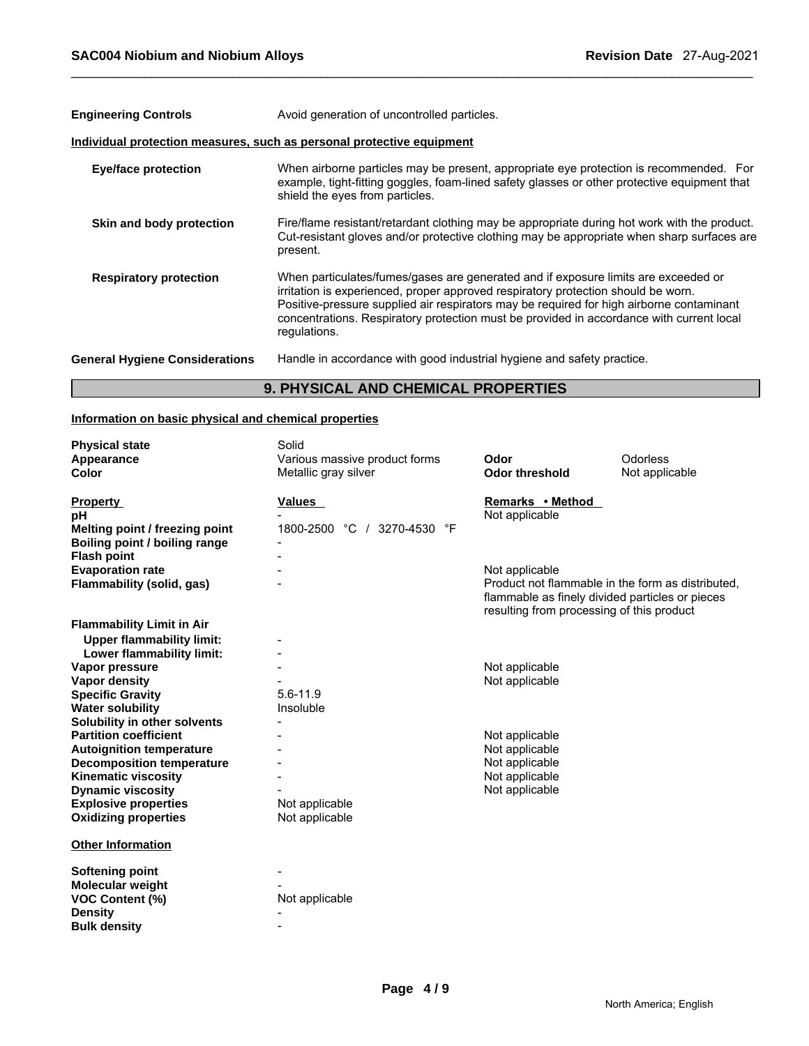| <b>Engineering Controls</b>           | Avoid generation of uncontrolled particles.                                                                                                                                                                                                                                                                                                                                     |
|---------------------------------------|---------------------------------------------------------------------------------------------------------------------------------------------------------------------------------------------------------------------------------------------------------------------------------------------------------------------------------------------------------------------------------|
|                                       | Individual protection measures, such as personal protective equipment                                                                                                                                                                                                                                                                                                           |
| <b>Eye/face protection</b>            | When airborne particles may be present, appropriate eye protection is recommended. For<br>example, tight-fitting goggles, foam-lined safety glasses or other protective equipment that<br>shield the eyes from particles.                                                                                                                                                       |
| Skin and body protection              | Fire/flame resistant/retardant clothing may be appropriate during hot work with the product.<br>Cut-resistant gloves and/or protective clothing may be appropriate when sharp surfaces are<br>present.                                                                                                                                                                          |
| <b>Respiratory protection</b>         | When particulates/fumes/gases are generated and if exposure limits are exceeded or<br>irritation is experienced, proper approved respiratory protection should be worn.<br>Positive-pressure supplied air respirators may be required for high airborne contaminant<br>concentrations. Respiratory protection must be provided in accordance with current local<br>regulations. |
| <b>General Hygiene Considerations</b> | Handle in accordance with good industrial hygiene and safety practice.                                                                                                                                                                                                                                                                                                          |

# **9. PHYSICAL AND CHEMICAL PROPERTIES**

# **Information on basic physical and chemical properties**

| <b>Physical state</b><br>Appearance                                 | Solid<br>Various massive product forms | Odor                                                                                                                                                                | Odorless       |
|---------------------------------------------------------------------|----------------------------------------|---------------------------------------------------------------------------------------------------------------------------------------------------------------------|----------------|
| <b>Color</b>                                                        | Metallic gray silver                   | <b>Odor threshold</b>                                                                                                                                               | Not applicable |
| <b>Property</b><br>pH                                               | Values                                 | Remarks • Method<br>Not applicable                                                                                                                                  |                |
| Melting point / freezing point<br>Boiling point / boiling range     | 1800-2500 °C /<br>3270-4530 °F         |                                                                                                                                                                     |                |
| <b>Flash point</b>                                                  |                                        |                                                                                                                                                                     |                |
| <b>Evaporation rate</b><br>Flammability (solid, gas)                |                                        | Not applicable<br>Product not flammable in the form as distributed.<br>flammable as finely divided particles or pieces<br>resulting from processing of this product |                |
| <b>Flammability Limit in Air</b>                                    |                                        |                                                                                                                                                                     |                |
| <b>Upper flammability limit:</b><br>Lower flammability limit:       |                                        |                                                                                                                                                                     |                |
| Vapor pressure                                                      |                                        | Not applicable                                                                                                                                                      |                |
| <b>Vapor density</b>                                                |                                        | Not applicable                                                                                                                                                      |                |
| <b>Specific Gravity</b>                                             | $5.6 - 11.9$                           |                                                                                                                                                                     |                |
| <b>Water solubility</b>                                             | Insoluble                              |                                                                                                                                                                     |                |
| Solubility in other solvents                                        |                                        |                                                                                                                                                                     |                |
| <b>Partition coefficient</b>                                        |                                        | Not applicable<br>Not applicable                                                                                                                                    |                |
| <b>Autoignition temperature</b><br><b>Decomposition temperature</b> |                                        | Not applicable                                                                                                                                                      |                |
| <b>Kinematic viscosity</b>                                          |                                        | Not applicable                                                                                                                                                      |                |
| <b>Dynamic viscosity</b>                                            |                                        | Not applicable                                                                                                                                                      |                |
| <b>Explosive properties</b>                                         | Not applicable                         |                                                                                                                                                                     |                |
| <b>Oxidizing properties</b>                                         | Not applicable                         |                                                                                                                                                                     |                |
| <b>Other Information</b>                                            |                                        |                                                                                                                                                                     |                |
| <b>Softening point</b>                                              |                                        |                                                                                                                                                                     |                |
| <b>Molecular weight</b>                                             |                                        |                                                                                                                                                                     |                |
| <b>VOC Content (%)</b>                                              | Not applicable                         |                                                                                                                                                                     |                |
| <b>Density</b>                                                      |                                        |                                                                                                                                                                     |                |
| <b>Bulk density</b>                                                 |                                        |                                                                                                                                                                     |                |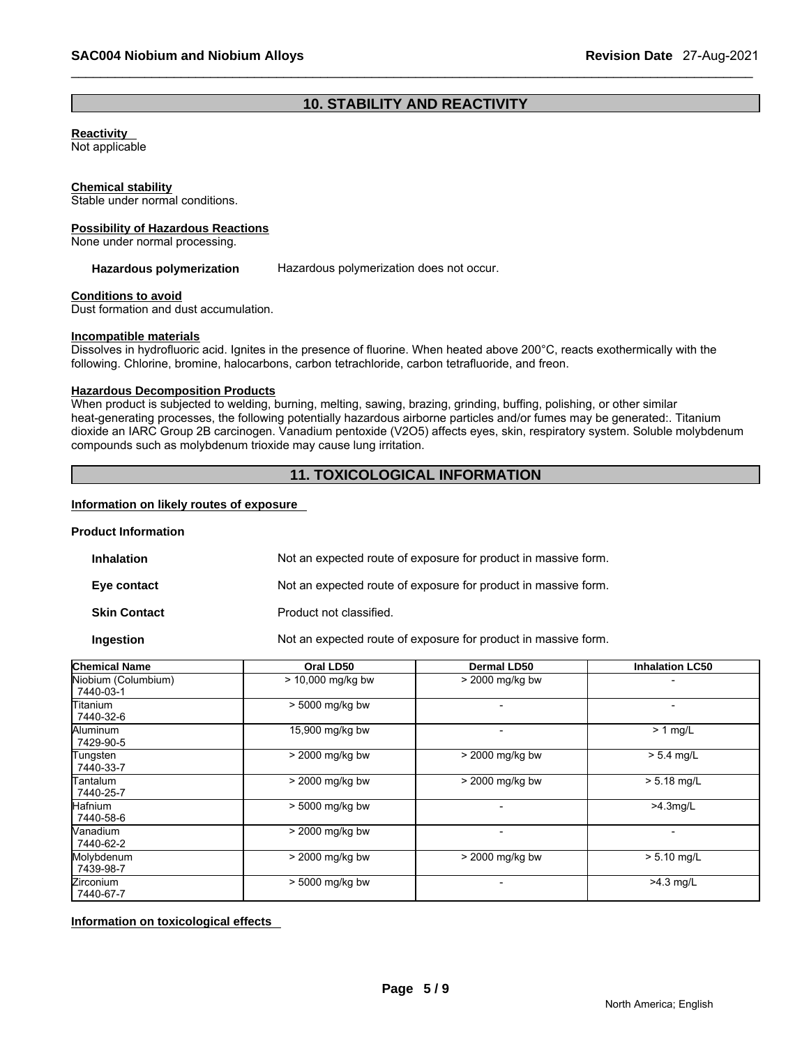# **10. STABILITY AND REACTIVITY**

## **Reactivity**

Not applicable

#### **Chemical stability**

Stable under normal conditions.

#### **Possibility of Hazardous Reactions**

None under normal processing.

#### **Hazardous polymerization** Hazardous polymerization does not occur.

#### **Conditions to avoid**

Dust formation and dust accumulation.

#### **Incompatible materials**

Dissolves in hydrofluoric acid. Ignites in the presence of fluorine. When heated above 200°C, reacts exothermically with the following. Chlorine, bromine, halocarbons, carbon tetrachloride, carbon tetrafluoride, and freon.

# **Hazardous Decomposition Products**

When product is subjected to welding, burning, melting, sawing, brazing, grinding, buffing, polishing, or other similar heat-generating processes, the following potentially hazardous airborne particles and/or fumes may be generated:. Titanium dioxide an IARC Group 2B carcinogen. Vanadium pentoxide (V2O5) affects eyes, skin, respiratory system. Soluble molybdenum compounds such as molybdenum trioxide may cause lung irritation.

# **11. TOXICOLOGICAL INFORMATION**

## **Information on likely routes of exposure**

## **Product Information**

| <b>Inhalation</b>   | Not an expected route of exposure for product in massive form. |
|---------------------|----------------------------------------------------------------|
| Eye contact         | Not an expected route of exposure for product in massive form. |
| <b>Skin Contact</b> | Product not classified.                                        |
| <b>Ingestion</b>    | Not an expected route of exposure for product in massive form. |

| <b>Chemical Name</b>             | Oral LD50         | <b>Dermal LD50</b>       | <b>Inhalation LC50</b>   |
|----------------------------------|-------------------|--------------------------|--------------------------|
| Niobium (Columbium)<br>7440-03-1 | > 10,000 mg/kg bw | > 2000 mg/kg bw          |                          |
| Titanium<br>7440-32-6            | > 5000 mg/kg bw   |                          | $\overline{\phantom{0}}$ |
| Aluminum<br>7429-90-5            | 15,900 mg/kg bw   | $\overline{\phantom{0}}$ | $> 1$ mg/L               |
| Tungsten<br>7440-33-7            | > 2000 mg/kg bw   | > 2000 mg/kg bw          | $> 5.4$ mg/L             |
| Tantalum<br>7440-25-7            | > 2000 mg/kg bw   | > 2000 mg/kg bw          | $> 5.18$ mg/L            |
| Hafnium<br>7440-58-6             | > 5000 mg/kg bw   |                          | $>4.3$ mg/L              |
| Vanadium<br>7440-62-2            | > 2000 mg/kg bw   |                          | $\overline{\phantom{0}}$ |
| Molybdenum<br>7439-98-7          | > 2000 mg/kg bw   | > 2000 mg/kg bw          | $> 5.10$ mg/L            |
| Zirconium<br>7440-67-7           | > 5000 mg/kg bw   |                          | $>4.3$ mg/L              |

**Information on toxicological effects**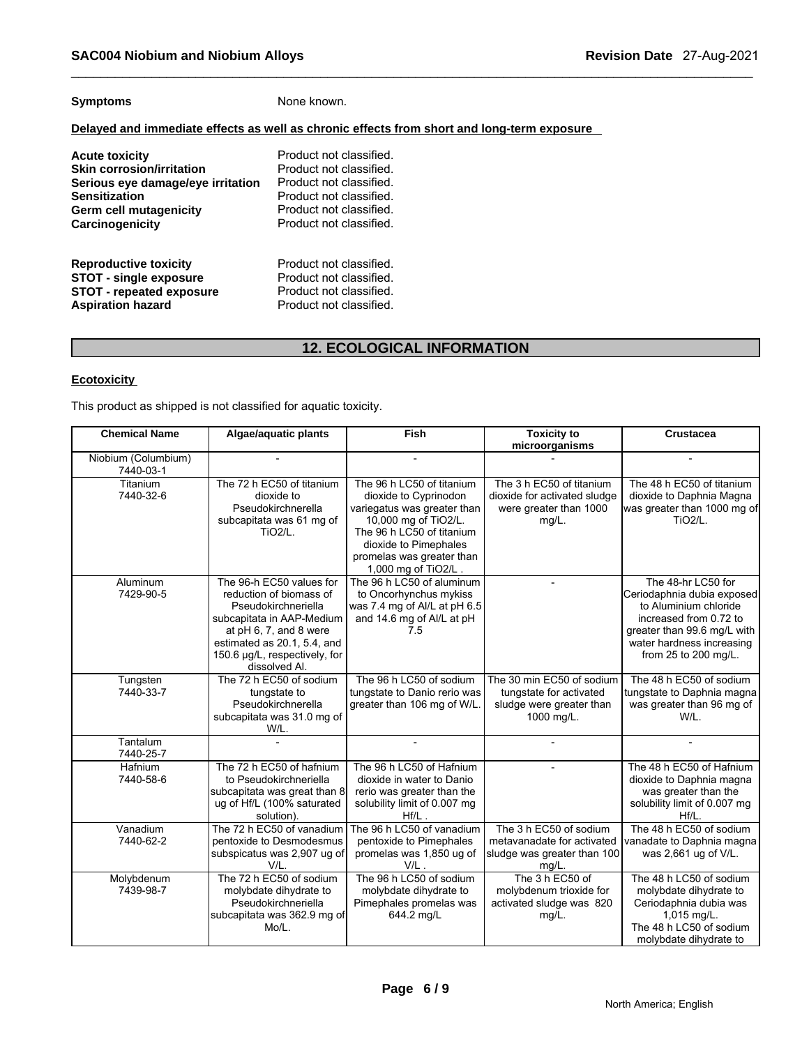# **Symptoms** None known.

## **Delayed and immediate effects as well as chronic effects from short and long-term exposure**

| Acute toxicity                    | Product not classified. |
|-----------------------------------|-------------------------|
| <b>Skin corrosion/irritation</b>  | Product not classified. |
| Serious eye damage/eye irritation | Product not classified. |
| Sensitization                     | Product not classified. |
| Germ cell mutagenicity            | Product not classified. |
| Carcinogenicity                   | Product not classified. |
| <b>Reproductive toxicity</b>      | Product not classified. |
| <b>STOT - single exposure</b>     | Product not classified. |
| <b>STOT - repeated exposure</b>   | Product not classified. |
| <b>Aspiration hazard</b>          | Product not classified. |

# **12. ECOLOGICAL INFORMATION**

# **Ecotoxicity**

This product as shipped is not classified for aquatic toxicity.

| <b>Chemical Name</b>             | Algae/aguatic plants                                                                                                                                                                                               | Fish                                                                                                                                                                                                               | <b>Toxicity to</b><br>microorganisms                                                            | Crustacea                                                                                                                                                                               |
|----------------------------------|--------------------------------------------------------------------------------------------------------------------------------------------------------------------------------------------------------------------|--------------------------------------------------------------------------------------------------------------------------------------------------------------------------------------------------------------------|-------------------------------------------------------------------------------------------------|-----------------------------------------------------------------------------------------------------------------------------------------------------------------------------------------|
| Niobium (Columbium)<br>7440-03-1 |                                                                                                                                                                                                                    |                                                                                                                                                                                                                    |                                                                                                 |                                                                                                                                                                                         |
| Titanium<br>7440-32-6            | The 72 h EC50 of titanium<br>dioxide to<br>Pseudokirchnerella<br>subcapitata was 61 mg of<br>TiO <sub>2</sub> /L.                                                                                                  | The 96 h LC50 of titanium<br>dioxide to Cyprinodon<br>variegatus was greater than<br>10,000 mg of TiO2/L.<br>The 96 h LC50 of titanium<br>dioxide to Pimephales<br>promelas was greater than<br>1,000 mg of TiO2/L | The 3 h EC50 of titanium<br>dioxide for activated sludge<br>were greater than 1000<br>$mg/L$ .  | The 48 h EC50 of titanium<br>dioxide to Daphnia Magna<br>was greater than 1000 mg of<br><b>TiO2/L.</b>                                                                                  |
| Aluminum<br>7429-90-5            | The 96-h EC50 values for<br>reduction of biomass of<br>Pseudokirchneriella<br>subcapitata in AAP-Medium<br>at pH 6, 7, and 8 were<br>estimated as 20.1, 5.4, and<br>150.6 µg/L, respectively, for<br>dissolved Al. | The 96 h LC50 of aluminum<br>to Oncorhynchus mykiss<br>was 7.4 mg of Al/L at pH 6.5<br>and 14.6 mg of Al/L at pH<br>7.5                                                                                            |                                                                                                 | The 48-hr LC50 for<br>Ceriodaphnia dubia exposed<br>to Aluminium chloride<br>increased from 0.72 to<br>greater than 99.6 mg/L with<br>water hardness increasing<br>from 25 to 200 mg/L. |
| Tungsten<br>7440-33-7            | The 72 h EC50 of sodium<br>tungstate to<br>Pseudokirchnerella<br>subcapitata was 31.0 mg of<br>W/L.                                                                                                                | The 96 h LC50 of sodium<br>tungstate to Danio rerio was<br>greater than 106 mg of W/L.                                                                                                                             | The 30 min EC50 of sodium<br>tungstate for activated<br>sludge were greater than<br>1000 mg/L.  | The 48 h EC50 of sodium<br>tungstate to Daphnia magna<br>was greater than 96 mg of<br>W/L.                                                                                              |
| Tantalum<br>7440-25-7            |                                                                                                                                                                                                                    | $\overline{a}$                                                                                                                                                                                                     |                                                                                                 |                                                                                                                                                                                         |
| Hafnium<br>7440-58-6             | The 72 h EC50 of hafnium<br>to Pseudokirchneriella<br>subcapitata was great than 8<br>ug of Hf/L (100% saturated<br>solution).                                                                                     | The 96 h LC50 of Hafnium<br>dioxide in water to Danio<br>rerio was greater than the<br>solubility limit of 0.007 mg<br>$Hf/L$ .                                                                                    |                                                                                                 | The 48 h EC50 of Hafnium<br>dioxide to Daphnia magna<br>was greater than the<br>solubility limit of 0.007 mg<br>Hf/L.                                                                   |
| Vanadium<br>7440-62-2            | The 72 h EC50 of vanadium<br>pentoxide to Desmodesmus<br>subspicatus was 2,907 ug of<br>V/L.                                                                                                                       | The 96 h LC50 of vanadium<br>pentoxide to Pimephales<br>promelas was 1,850 ug of<br>$V/L$ .                                                                                                                        | The 3 h EC50 of sodium<br>metavanadate for activated<br>sludge was greater than 100<br>$mg/L$ . | The 48 h EC50 of sodium<br>vanadate to Daphnia magna<br>was 2,661 ug of V/L.                                                                                                            |
| Molybdenum<br>7439-98-7          | The 72 h EC50 of sodium<br>molybdate dihydrate to<br>Pseudokirchneriella<br>subcapitata was 362.9 mg of<br>Mo/L.                                                                                                   | The 96 h LC50 of sodium<br>molybdate dihydrate to<br>Pimephales promelas was<br>644.2 mg/L                                                                                                                         | The 3 h EC50 of<br>molybdenum trioxide for<br>activated sludge was 820<br>$mg/L$ .              | The 48 h LC50 of sodium<br>molybdate dihydrate to<br>Ceriodaphnia dubia was<br>1,015 mg/L.<br>The 48 h LC50 of sodium<br>molybdate dihydrate to                                         |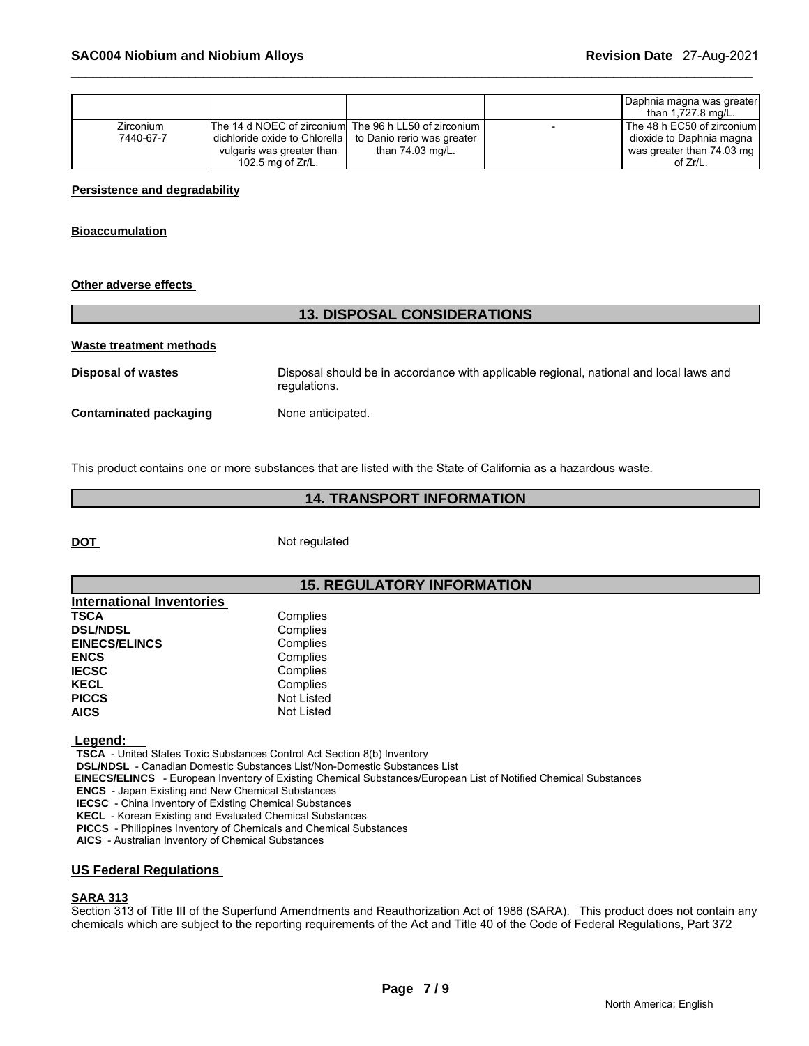|                               |                                                                                                                                                    |                                                | Daphnia magna was greater<br>than 1,727.8 mg/L.                                                      |
|-------------------------------|----------------------------------------------------------------------------------------------------------------------------------------------------|------------------------------------------------|------------------------------------------------------------------------------------------------------|
| <b>Zirconium</b><br>7440-67-7 | The 14 d NOEC of zirconiuml The 96 h LL50 of zirconium I<br>I dichloride oxide to Chlorella I<br>vulgaris was greater than<br>102.5 mg of $Zr/L$ . | to Danio rerio was greater<br>than 74.03 mg/L. | The 48 h EC50 of zirconium  <br>dioxide to Daphnia magna<br>was greater than 74.03 mg<br>of $Zr/L$ . |

## **Persistence and degradability**

#### **Bioaccumulation**

#### **Other adverse effects**

# **13. DISPOSAL CONSIDERATIONS**

**Waste treatment methods Disposal of wastes** Disposal should be in accordance with applicable regional, national and local laws and regulations. **Contaminated packaging Mone anticipated.** 

This product contains one or more substances that are listed with the State of California as a hazardous waste.

# **14. TRANSPORT INFORMATION**

**DOT** Not regulated

# **15. REGULATORY INFORMATION**

| International Inventories |                   |
|---------------------------|-------------------|
| <b>TSCA</b>               | Complies          |
| <b>DSL/NDSL</b>           | Complies          |
| <b>EINECS/ELINCS</b>      | Complies          |
| <b>ENCS</b>               | Complies          |
| <b>IECSC</b>              | Complies          |
| <b>KECL</b>               | Complies          |
| <b>PICCS</b>              | Not Listed        |
| <b>AICS</b>               | <b>Not Listed</b> |

 **Legend:** 

 **TSCA** - United States Toxic Substances Control Act Section 8(b) Inventory

 **DSL/NDSL** - Canadian Domestic Substances List/Non-Domestic Substances List

 **EINECS/ELINCS** - European Inventory of Existing Chemical Substances/European List of Notified Chemical Substances

 **ENCS** - Japan Existing and New Chemical Substances

 **IECSC** - China Inventory of Existing Chemical Substances

 **KECL** - Korean Existing and Evaluated Chemical Substances

 **PICCS** - Philippines Inventory of Chemicals and Chemical Substances

 **AICS** - Australian Inventory of Chemical Substances

## **US Federal Regulations**

## **SARA 313**

Section 313 of Title III of the Superfund Amendments and Reauthorization Act of 1986 (SARA). This product does not contain any chemicals which are subject to the reporting requirements of the Act and Title 40 of the Code of Federal Regulations, Part 372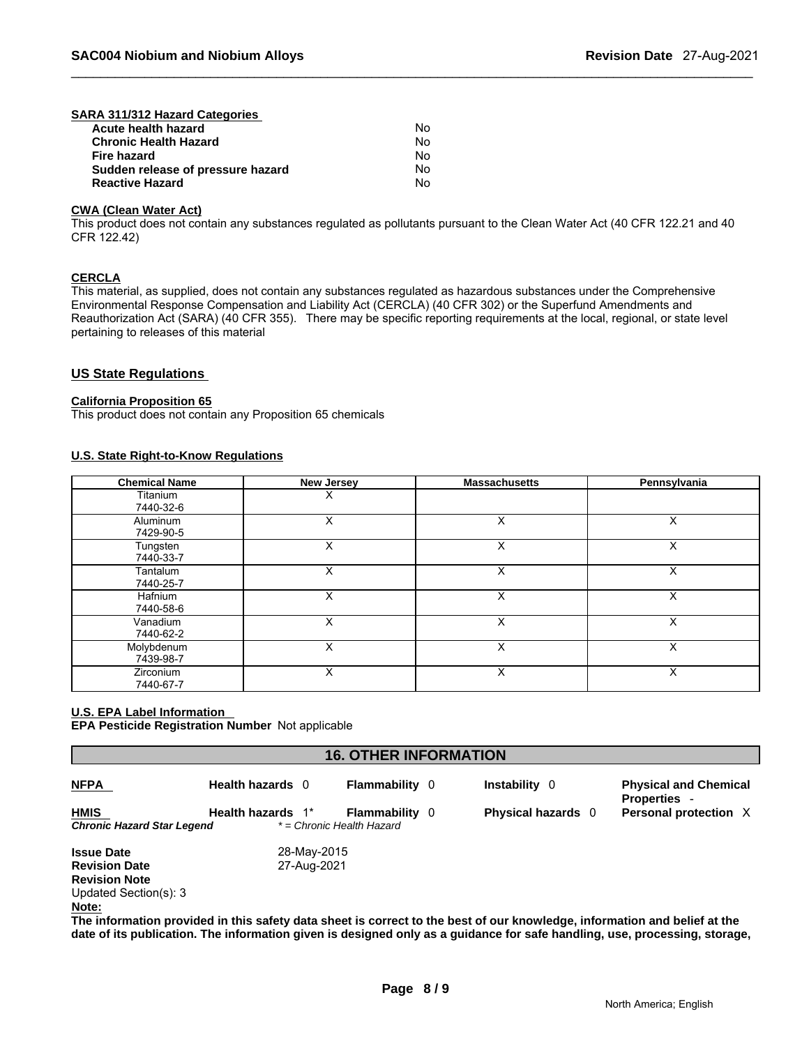| SARA 311/312 Hazard Categories    |    |
|-----------------------------------|----|
| Acute health hazard               | No |
| <b>Chronic Health Hazard</b>      | No |
| Fire hazard                       | No |
| Sudden release of pressure hazard | No |
| <b>Reactive Hazard</b>            | No |

## **CWA (Clean Water Act)**

This product does not contain any substances regulated as pollutants pursuant to the Clean Water Act (40 CFR 122.21 and 40 CFR 122.42)

#### **CERCLA**

This material, as supplied, does not contain any substances regulated as hazardous substances under the Comprehensive Environmental Response Compensation and Liability Act (CERCLA) (40 CFR 302) or the Superfund Amendments and Reauthorization Act (SARA) (40 CFR 355). There may be specific reporting requirements at the local, regional, or state level pertaining to releases of this material

## **US State Regulations**

#### **California Proposition 65**

This product does not contain any Proposition 65 chemicals

## **U.S. State Right-to-Know Regulations**

| <b>Chemical Name</b>          | <b>New Jersey</b> | <b>Massachusetts</b> | Pennsylvania |
|-------------------------------|-------------------|----------------------|--------------|
| Titanium<br>7440-32-6         | х                 |                      |              |
| <b>Aluminum</b><br>7429-90-5  | X                 | X                    | X            |
| Tungsten<br>7440-33-7         | X                 | X                    |              |
| Tantalum<br>7440-25-7         | x                 | X                    | x            |
| Hafnium<br>7440-58-6          | x                 | X                    | л            |
| Vanadium<br>7440-62-2         | X                 | X                    |              |
| Molybdenum<br>7439-98-7       | X                 | X                    | x            |
| <b>Zirconium</b><br>7440-67-7 | x                 | x                    |              |

## **U.S. EPA Label Information**

**EPA Pesticide Registration Number** Not applicable

| <b>NFPA</b>                               | Health hazards 0  | <b>Flammability</b> 0                              | Instability 0             | <b>Physical and Chemical</b><br><b>Properties -</b> |
|-------------------------------------------|-------------------|----------------------------------------------------|---------------------------|-----------------------------------------------------|
| <b>HMIS</b><br>Chronic Hazard Star Legend | Health hazards 1* | <b>Flammability</b> 0<br>* = Chronic Health Hazard | <b>Physical hazards</b> 0 | Personal protection X                               |
| <b>Issue Date</b>                         | 28-May-2015       |                                                    |                           |                                                     |
| <b>Revision Date</b>                      | 27-Aug-2021       |                                                    |                           |                                                     |
| <b>Revision Note</b>                      |                   |                                                    |                           |                                                     |
| Updated Section(s): 3                     |                   |                                                    |                           |                                                     |
| Note:                                     |                   |                                                    |                           |                                                     |